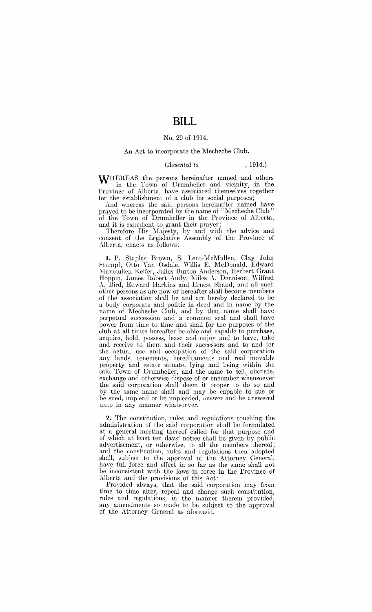# **BILL**

### No. 29 of 1914.

#### An Act to incorpomte the Mecheche Club.

#### *(Assented to* , 1914.)

WHEREAS the persons hereinafter named and others in the Town of Drumheller and vicinity, in the Province of Alberta, have associated themselves together for the establishment of a club for social purposes;

And whereas the said persons hereinafter named have prayed to be incorporated by the name of "Mecheche Club" of the Town of Drumheller in the Province of Alberta, and it is expedient to grant their prayer;

Therefore His Majesty, by and with the advice and consent of the Lrgislatiye Assembly of the Province of Alberta, enacts as follows:

**1.** P. Staples Brown, S. Lent-McMullen, Clay John ~tumpf, Otto Yan Osdale, 'Willis E. McDonald, Edward ,Maxmullen Keifer, Julies Burton Anderson, Herbert Grant Hoppin, James Robert Audy, Miles A. Dennison, Wilfred A. Bird, Edward Harkins and Ernest Shand, and all such other persons as are now or hereafter shall become members of the association shall be and are hereby declared to be a body corporate and politic in deed and in name by the name of Mecheche Club, and by that name shall have perpetual succession and a common seal and shall have power from time to time and shall (or the purposes of the club at all times hereafter be able and capable to purchase, acquire, hold, possess, lease and enjoy and to have, take and receive to them and their successors and to and for the actual use and occupation of the said corpomtion any lands, tenements, hereditaments and real movable property and estate situate, lying and being within the said Town of Drumheller, and the same to sell, alienate, exchange and otherwise dispose of or encumber whensoever the said corporation shall deem it proper to do so and by the same name shall and may be capable to sue or be sued, implead or be impleaded, answer and be answered unto in any manner whatsoeyer.

**2.** The constitution, rules and regulations touching the administration of the said corporation shall be formulated at a geneml meeting thereof called for that purpose and of which at least ten days' notice shall be given by public· advertisement, or otherwise, to all the members thereof; and the constitution, rules and regulations then adopted shall, subject to the approval of the Attorney General, have full force and effect in so far as the same shall not be inconsistent with the laws in force in the Province of Alberta and the provisions of this Act:

Provided always, that the said corporation may from time to time alter, repeal and change such constitution, rules and regulations, in the manner therein provided, any amendments so made to be subject to the approval of the Attorney General as aforeasid.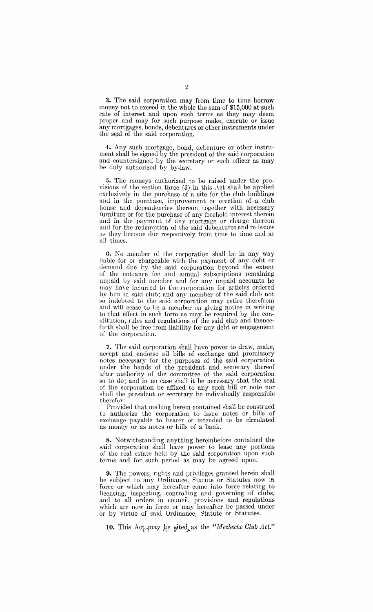**3.** The said corporation may from time to time borrow money not to exceed in the whole the sum of \$15,000 at such rate of interest and upon such terms as they may deem proper and may for such purpose make, execute or issue any mortgages, bonds, debentures or other instruments under the seal of the said corporation.

**4.** Any such mortgage, bond, debenture or other instrument shall be signed by the president of the said corporation and countersigned by the secretary or such officer as may be duly authorized by by-law.

5. The moneys authorized to be raised under the provisions of the section three (3) in this Act shall be applied exclusively in the purchase of a site for the club buildings and in the purchase, improvement or erection of a club house and dependencies thereon together with necessary furniture or for the purchase of any freehold interest therein and in the payment of any mortgage or charge thereon and for the redemption of the said debentures and re-issues as they become due respectively from time to time and at all times.

6. No member of the corporation shall be in any way liable for or chargeable with the payment of any debt or demand due by the said corporation beyond the extent of the entrance fcc and annual subscriptions remaining unpaid by said member and for any unpaid accounts he may have incurred to the corporation for articles ordered by him in said club; and any member of the said club not so indebted to the said corporation may retire therefrom and will cease to be a member on giving notice in writing to that e[Iect in such form as may be required by the constitution, rules and regulations of the said club and thenceforth shall be free from liability for any debt or engagement of the corporaticn.

7. The said corporation shall have power to draw, make, accept and endorse all bills of exchange and promissory notes necessary for the purposes of the said corporation under the hands of the president and secretary thereof after authority of the committee of the said corporation so to do; and in no case shall it be necessary that the seal of the corporation be affixed to any such bill or note nor shall the president or secretary be individually responsible therefor:

Provided that nothing herein contained shall be construed to authorize the corporation to issue notes or bills of exchange payable to bearer or intended to be circulated as money or as notes or bills of a bank.

8. Notwithstanding anything hereinbefore contained the said corporation shall have power to lease any portions of the real estate held by the said corporation upon such terms and for such period as may be agreed upon.

**9.** The powers, rights and privileges granted herein shall be subject to any Ordinance, Statute or Statutes now in force or which may hereafter come into force relating to licensing, inspecting, controlling and governing of clubs, and to all orders in council, provisions and regulations which are now in force or may hereafter be passed under or by virtue of said Ordinance, Statute or Statutes.

10. This Act<sub>2</sub> may be gited as the "Mecheche Club Act."